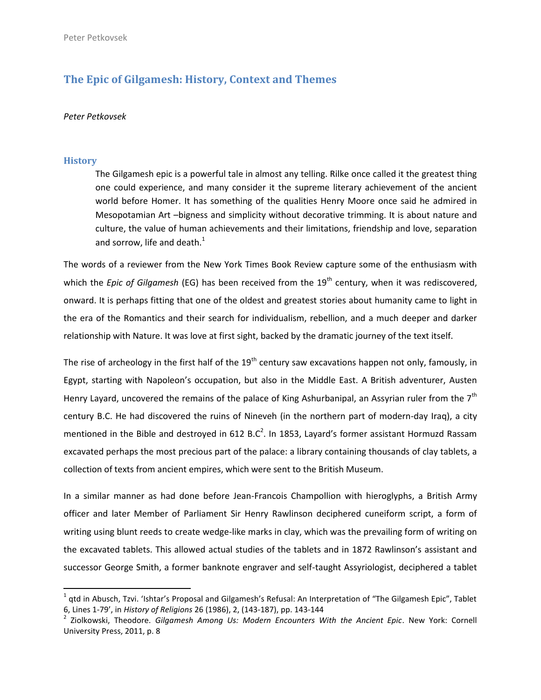# **The Epic of Gilgamesh: History, Context and Themes**

### *Peter Petkovsek*

#### **History**

 $\overline{a}$ 

The Gilgamesh epic is a powerful tale in almost any telling. Rilke once called it the greatest thing one could experience, and many consider it the supreme literary achievement of the ancient world before Homer. It has something of the qualities Henry Moore once said he admired in Mesopotamian Art –bigness and simplicity without decorative trimming. It is about nature and culture, the value of human achievements and their limitations, friendship and love, separation and sorrow, life and death. $<sup>1</sup>$ </sup>

The words of a reviewer from the New York Times Book Review capture some of the enthusiasm with which the *Epic of Gilgamesh* (EG) has been received from the 19<sup>th</sup> century, when it was rediscovered, onward. It is perhaps fitting that one of the oldest and greatest stories about humanity came to light in the era of the Romantics and their search for individualism, rebellion, and a much deeper and darker relationship with Nature. It was love at first sight, backed by the dramatic journey of the text itself.

The rise of archeology in the first half of the 19<sup>th</sup> century saw excavations happen not only, famously, in Egypt, starting with Napoleon's occupation, but also in the Middle East. A British adventurer, Austen Henry Layard, uncovered the remains of the palace of King Ashurbanipal, an Assyrian ruler from the  $7<sup>th</sup>$ century B.C. He had discovered the ruins of Nineveh (in the northern part of modern-day Iraq), a city mentioned in the Bible and destroyed in 612 B.C<sup>2</sup>. In 1853, Layard's former assistant Hormuzd Rassam excavated perhaps the most precious part of the palace: a library containing thousands of clay tablets, a collection of texts from ancient empires, which were sent to the British Museum.

In a similar manner as had done before Jean-Francois Champollion with hieroglyphs, a British Army officer and later Member of Parliament Sir Henry Rawlinson deciphered cuneiform script, a form of writing using blunt reeds to create wedge-like marks in clay, which was the prevailing form of writing on the excavated tablets. This allowed actual studies of the tablets and in 1872 Rawlinson's assistant and successor George Smith, a former banknote engraver and self-taught Assyriologist, deciphered a tablet

 $^1$  qtd in Abusch, Tzvi. 'Ishtar's Proposal and Gilgamesh's Refusal: An Interpretation of "The Gilgamesh Epic", Tablet 6, Lines 1-79', in *History of Religions* 26 (1986), 2, (143-187), pp. 143-144

<sup>2</sup> Ziolkowski, Theodore. *Gilgamesh Among Us: Modern Encounters With the Ancient Epic*. New York: Cornell University Press, 2011, p. 8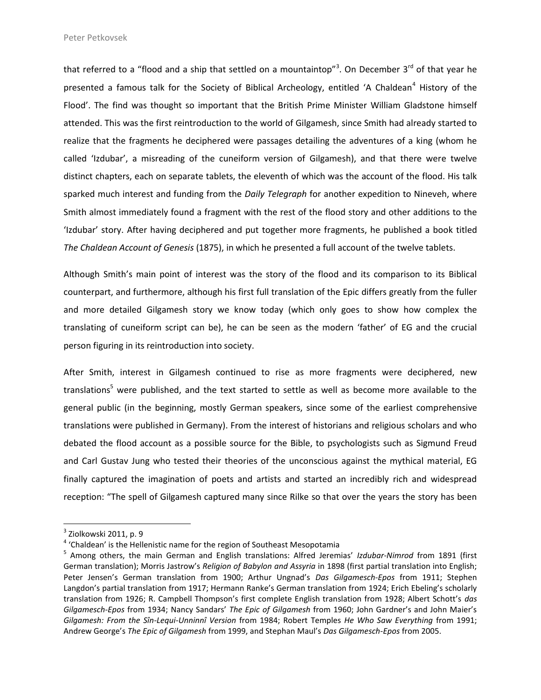that referred to a "flood and a ship that settled on a mountaintop"<sup>3</sup>. On December 3<sup>rd</sup> of that year he presented a famous talk for the Society of Biblical Archeology, entitled 'A Chaldean<sup>4</sup> History of the Flood'. The find was thought so important that the British Prime Minister William Gladstone himself attended. This was the first reintroduction to the world of Gilgamesh, since Smith had already started to realize that the fragments he deciphered were passages detailing the adventures of a king (whom he called 'Izdubar', a misreading of the cuneiform version of Gilgamesh), and that there were twelve distinct chapters, each on separate tablets, the eleventh of which was the account of the flood. His talk sparked much interest and funding from the *Daily Telegraph* for another expedition to Nineveh, where Smith almost immediately found a fragment with the rest of the flood story and other additions to the 'Izdubar' story. After having deciphered and put together more fragments, he published a book titled *The Chaldean Account of Genesis* (1875), in which he presented a full account of the twelve tablets.

Although Smith's main point of interest was the story of the flood and its comparison to its Biblical counterpart, and furthermore, although his first full translation of the Epic differs greatly from the fuller and more detailed Gilgamesh story we know today (which only goes to show how complex the translating of cuneiform script can be), he can be seen as the modern 'father' of EG and the crucial person figuring in its reintroduction into society.

After Smith, interest in Gilgamesh continued to rise as more fragments were deciphered, new translations<sup>5</sup> were published, and the text started to settle as well as become more available to the general public (in the beginning, mostly German speakers, since some of the earliest comprehensive translations were published in Germany). From the interest of historians and religious scholars and who debated the flood account as a possible source for the Bible, to psychologists such as Sigmund Freud and Carl Gustav Jung who tested their theories of the unconscious against the mythical material, EG finally captured the imagination of poets and artists and started an incredibly rich and widespread reception: "The spell of Gilgamesh captured many since Rilke so that over the years the story has been

 $^{\rm 3}$  Ziolkowski 2011, p. 9

<sup>&</sup>lt;sup>4</sup> 'Chaldean' is the Hellenistic name for the region of Southeast Mesopotamia

<sup>5</sup> Among others, the main German and English translations: Alfred Jeremias' *Izdubar-Nimrod* from 1891 (first German translation); Morris Jastrow's *Religion of Babylon and Assyria* in 1898 (first partial translation into English; Peter Jensen's German translation from 1900; Arthur Ungnad's *Das Gilgamesch-Epos* from 1911; Stephen Langdon's partial translation from 1917; Hermann Ranke's German translation from 1924; Erich Ebeling's scholarly translation from 1926; R. Campbell Thompson's first complete English translation from 1928; Albert Schott's *das Gilgamesch-Epos* from 1934; Nancy Sandars' *The Epic of Gilgamesh* from 1960; John Gardner's and John Maier's *Gilgamesh: From the Sîn-Lequi-Unninnî Version* from 1984; Robert Temples *He Who Saw Everything* from 1991; Andrew George's *The Epic of Gilgamesh* from 1999, and Stephan Maul's *Das Gilgamesch-Epos* from 2005.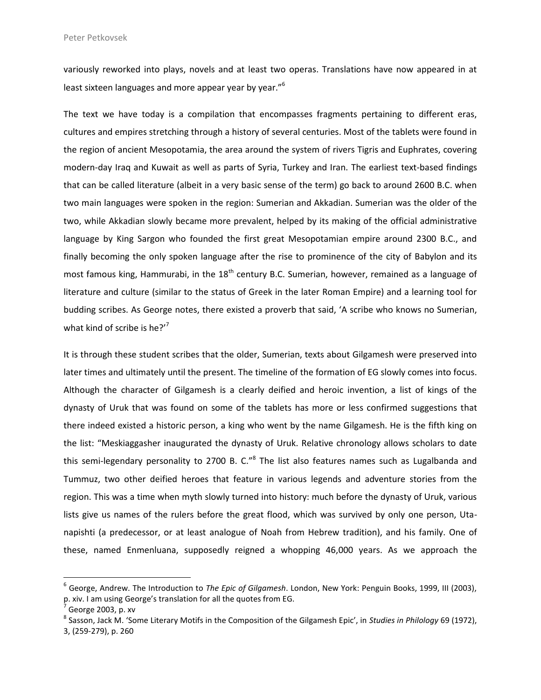variously reworked into plays, novels and at least two operas. Translations have now appeared in at least sixteen languages and more appear year by year."<sup>6</sup>

The text we have today is a compilation that encompasses fragments pertaining to different eras, cultures and empires stretching through a history of several centuries. Most of the tablets were found in the region of ancient Mesopotamia, the area around the system of rivers Tigris and Euphrates, covering modern-day Iraq and Kuwait as well as parts of Syria, Turkey and Iran. The earliest text-based findings that can be called literature (albeit in a very basic sense of the term) go back to around 2600 B.C. when two main languages were spoken in the region: Sumerian and Akkadian. Sumerian was the older of the two, while Akkadian slowly became more prevalent, helped by its making of the official administrative language by King Sargon who founded the first great Mesopotamian empire around 2300 B.C., and finally becoming the only spoken language after the rise to prominence of the city of Babylon and its most famous king, Hammurabi, in the  $18<sup>th</sup>$  century B.C. Sumerian, however, remained as a language of literature and culture (similar to the status of Greek in the later Roman Empire) and a learning tool for budding scribes. As George notes, there existed a proverb that said, 'A scribe who knows no Sumerian, what kind of scribe is he? $'$ <sup>7</sup>

It is through these student scribes that the older, Sumerian, texts about Gilgamesh were preserved into later times and ultimately until the present. The timeline of the formation of EG slowly comes into focus. Although the character of Gilgamesh is a clearly deified and heroic invention, a list of kings of the dynasty of Uruk that was found on some of the tablets has more or less confirmed suggestions that there indeed existed a historic person, a king who went by the name Gilgamesh. He is the fifth king on the list: "Meskiaggasher inaugurated the dynasty of Uruk. Relative chronology allows scholars to date this semi-legendary personality to 2700 B. C."<sup>8</sup> The list also features names such as Lugalbanda and Tummuz, two other deified heroes that feature in various legends and adventure stories from the region. This was a time when myth slowly turned into history: much before the dynasty of Uruk, various lists give us names of the rulers before the great flood, which was survived by only one person, Utanapishti (a predecessor, or at least analogue of Noah from Hebrew tradition), and his family. One of these, named Enmenluana, supposedly reigned a whopping 46,000 years. As we approach the

<sup>6</sup> George, Andrew. The Introduction to *The Epic of Gilgamesh*. London, New York: Penguin Books, 1999, III (2003), p. xiv. I am using George's translation for all the quotes from EG.

<sup>7</sup> George 2003, p. xv

<sup>8</sup> Sasson, Jack M. 'Some Literary Motifs in the Composition of the Gilgamesh Epic', in *Studies in Philology* 69 (1972), 3, (259-279), p. 260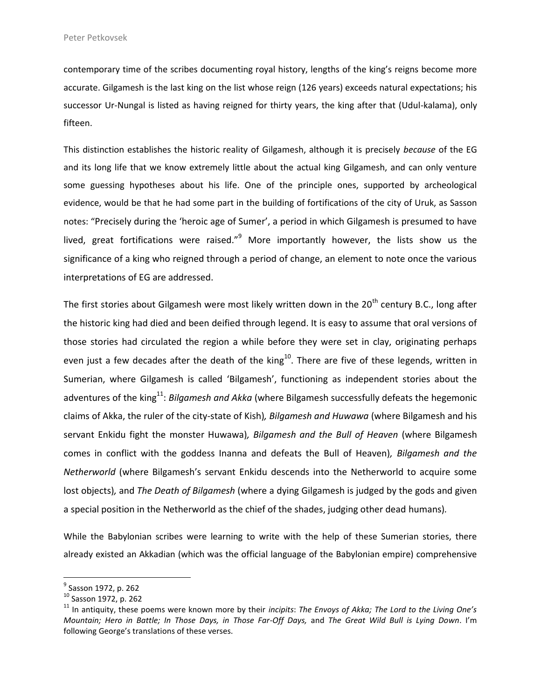contemporary time of the scribes documenting royal history, lengths of the king's reigns become more accurate. Gilgamesh is the last king on the list whose reign (126 years) exceeds natural expectations; his successor Ur-Nungal is listed as having reigned for thirty years, the king after that (Udul-kalama), only fifteen.

This distinction establishes the historic reality of Gilgamesh, although it is precisely *because* of the EG and its long life that we know extremely little about the actual king Gilgamesh, and can only venture some guessing hypotheses about his life. One of the principle ones, supported by archeological evidence, would be that he had some part in the building of fortifications of the city of Uruk, as Sasson notes: "Precisely during the 'heroic age of Sumer', a period in which Gilgamesh is presumed to have lived, great fortifications were raised."<sup>9</sup> More importantly however, the lists show us the significance of a king who reigned through a period of change, an element to note once the various interpretations of EG are addressed.

The first stories about Gilgamesh were most likely written down in the 20<sup>th</sup> century B.C., long after the historic king had died and been deified through legend. It is easy to assume that oral versions of those stories had circulated the region a while before they were set in clay, originating perhaps even just a few decades after the death of the king<sup>10</sup>. There are five of these legends, written in Sumerian, where Gilgamesh is called 'Bilgamesh', functioning as independent stories about the adventures of the king<sup>11</sup>: *Bilgamesh and Akka* (where Bilgamesh successfully defeats the hegemonic claims of Akka, the ruler of the city-state of Kish)*, Bilgamesh and Huwawa* (where Bilgamesh and his servant Enkidu fight the monster Huwawa)*, Bilgamesh and the Bull of Heaven* (where Bilgamesh comes in conflict with the goddess Inanna and defeats the Bull of Heaven)*, Bilgamesh and the Netherworld* (where Bilgamesh's servant Enkidu descends into the Netherworld to acquire some lost objects)*,* and *The Death of Bilgamesh* (where a dying Gilgamesh is judged by the gods and given a special position in the Netherworld as the chief of the shades, judging other dead humans)*.* 

While the Babylonian scribes were learning to write with the help of these Sumerian stories, there already existed an Akkadian (which was the official language of the Babylonian empire) comprehensive

<sup>&</sup>lt;sup>9</sup> Sasson 1972, p. 262

<sup>10</sup> Sasson 1972, p. 262

<sup>11</sup> In antiquity, these poems were known more by their *incipits*: *The Envoys of Akka; The Lord to the Living One's Mountain; Hero in Battle; In Those Days, in Those Far-Off Days,* and *The Great Wild Bull is Lying Down*. I'm following George's translations of these verses.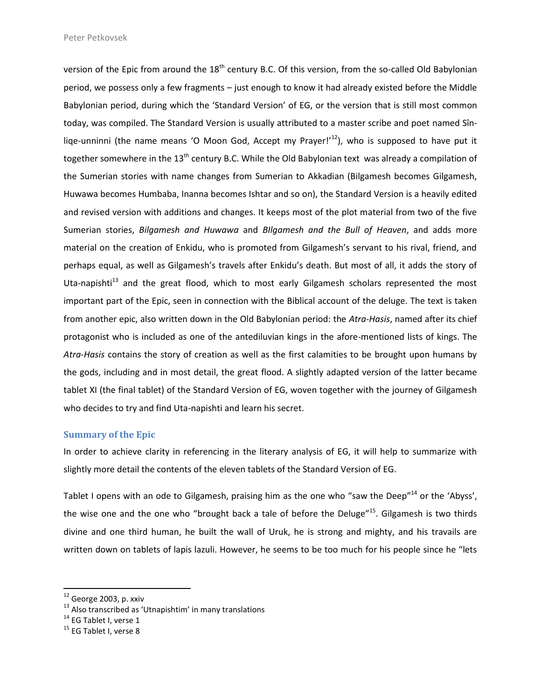version of the Epic from around the 18<sup>th</sup> century B.C. Of this version, from the so-called Old Babylonian period, we possess only a few fragments – just enough to know it had already existed before the Middle Babylonian period, during which the 'Standard Version' of EG, or the version that is still most common today, was compiled. The Standard Version is usually attributed to a master scribe and poet named Sînliqe-unninni (the name means 'O Moon God, Accept my Prayer!'<sup>12</sup>), who is supposed to have put it together somewhere in the 13<sup>th</sup> century B.C. While the Old Babylonian text was already a compilation of the Sumerian stories with name changes from Sumerian to Akkadian (Bilgamesh becomes Gilgamesh, Huwawa becomes Humbaba, Inanna becomes Ishtar and so on), the Standard Version is a heavily edited and revised version with additions and changes. It keeps most of the plot material from two of the five Sumerian stories, *Bilgamesh and Huwawa* and *BIlgamesh and the Bull of Heaven*, and adds more material on the creation of Enkidu, who is promoted from Gilgamesh's servant to his rival, friend, and perhaps equal, as well as Gilgamesh's travels after Enkidu's death. But most of all, it adds the story of Uta-napishti<sup>13</sup> and the great flood, which to most early Gilgamesh scholars represented the most important part of the Epic, seen in connection with the Biblical account of the deluge. The text is taken from another epic, also written down in the Old Babylonian period: the *Atra-Hasis*, named after its chief protagonist who is included as one of the antediluvian kings in the afore-mentioned lists of kings. The *Atra-Hasis* contains the story of creation as well as the first calamities to be brought upon humans by the gods, including and in most detail, the great flood. A slightly adapted version of the latter became tablet XI (the final tablet) of the Standard Version of EG, woven together with the journey of Gilgamesh who decides to try and find Uta-napishti and learn his secret.

### **Summary of the Epic**

In order to achieve clarity in referencing in the literary analysis of EG, it will help to summarize with slightly more detail the contents of the eleven tablets of the Standard Version of EG.

Tablet I opens with an ode to Gilgamesh, praising him as the one who "saw the Deep"<sup>14</sup> or the 'Abyss', the wise one and the one who "brought back a tale of before the Deluge"<sup>15</sup>. Gilgamesh is two thirds divine and one third human, he built the wall of Uruk, he is strong and mighty, and his travails are written down on tablets of lapis lazuli. However, he seems to be too much for his people since he "lets

 $^{12}$  George 2003, p. xxiv

 $13$  Also transcribed as 'Utnapishtim' in many translations

 $14$  EG Tablet I, verse 1

 $15$  EG Tablet I, verse 8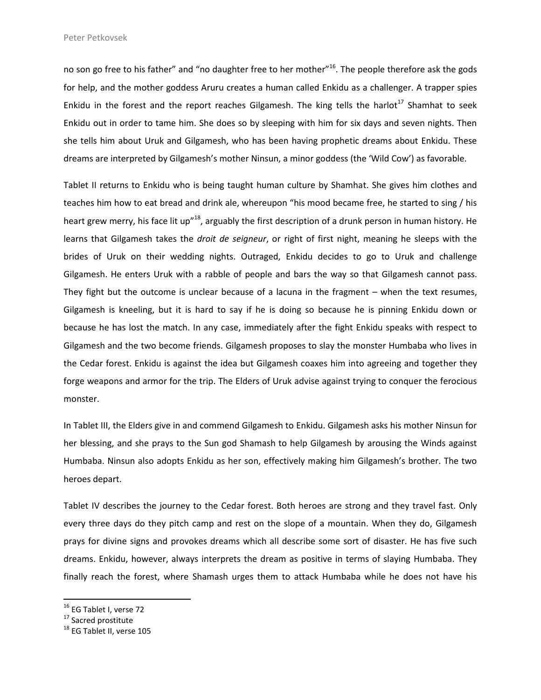no son go free to his father" and "no daughter free to her mother"<sup>16</sup>. The people therefore ask the gods for help, and the mother goddess Aruru creates a human called Enkidu as a challenger. A trapper spies Enkidu in the forest and the report reaches Gilgamesh. The king tells the harlot<sup>17</sup> Shamhat to seek Enkidu out in order to tame him. She does so by sleeping with him for six days and seven nights. Then she tells him about Uruk and Gilgamesh, who has been having prophetic dreams about Enkidu. These dreams are interpreted by Gilgamesh's mother Ninsun, a minor goddess (the 'Wild Cow') as favorable.

Tablet II returns to Enkidu who is being taught human culture by Shamhat. She gives him clothes and teaches him how to eat bread and drink ale, whereupon "his mood became free, he started to sing / his heart grew merry, his face lit up"<sup>18</sup>, arguably the first description of a drunk person in human history. He learns that Gilgamesh takes the *droit de seigneur*, or right of first night, meaning he sleeps with the brides of Uruk on their wedding nights. Outraged, Enkidu decides to go to Uruk and challenge Gilgamesh. He enters Uruk with a rabble of people and bars the way so that Gilgamesh cannot pass. They fight but the outcome is unclear because of a lacuna in the fragment – when the text resumes, Gilgamesh is kneeling, but it is hard to say if he is doing so because he is pinning Enkidu down or because he has lost the match. In any case, immediately after the fight Enkidu speaks with respect to Gilgamesh and the two become friends. Gilgamesh proposes to slay the monster Humbaba who lives in the Cedar forest. Enkidu is against the idea but Gilgamesh coaxes him into agreeing and together they forge weapons and armor for the trip. The Elders of Uruk advise against trying to conquer the ferocious monster.

In Tablet III, the Elders give in and commend Gilgamesh to Enkidu. Gilgamesh asks his mother Ninsun for her blessing, and she prays to the Sun god Shamash to help Gilgamesh by arousing the Winds against Humbaba. Ninsun also adopts Enkidu as her son, effectively making him Gilgamesh's brother. The two heroes depart.

Tablet IV describes the journey to the Cedar forest. Both heroes are strong and they travel fast. Only every three days do they pitch camp and rest on the slope of a mountain. When they do, Gilgamesh prays for divine signs and provokes dreams which all describe some sort of disaster. He has five such dreams. Enkidu, however, always interprets the dream as positive in terms of slaying Humbaba. They finally reach the forest, where Shamash urges them to attack Humbaba while he does not have his

<sup>&</sup>lt;sup>16</sup> EG Tablet I, verse 72

<sup>&</sup>lt;sup>17</sup> Sacred prostitute

<sup>&</sup>lt;sup>18</sup> EG Tablet II, verse 105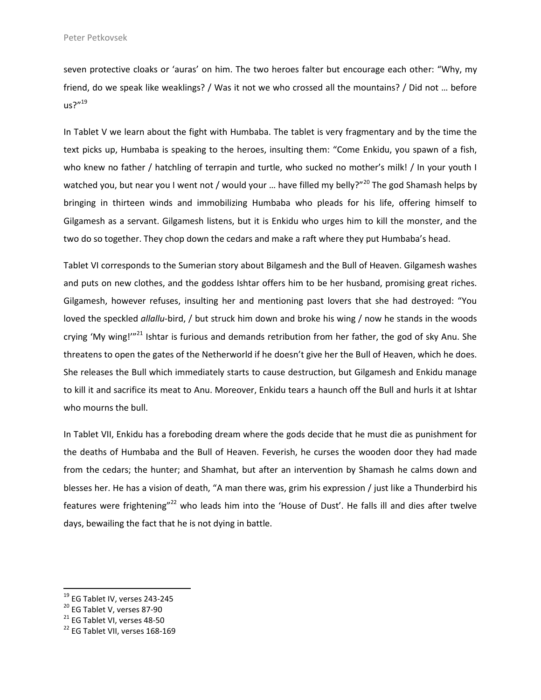seven protective cloaks or 'auras' on him. The two heroes falter but encourage each other: "Why, my friend, do we speak like weaklings? / Was it not we who crossed all the mountains? / Did not … before  $us?''<sup>19</sup>$ 

In Tablet V we learn about the fight with Humbaba. The tablet is very fragmentary and by the time the text picks up, Humbaba is speaking to the heroes, insulting them: "Come Enkidu, you spawn of a fish, who knew no father / hatchling of terrapin and turtle, who sucked no mother's milk! / In your youth I watched you, but near you I went not / would your ... have filled my belly?"<sup>20</sup> The god Shamash helps by bringing in thirteen winds and immobilizing Humbaba who pleads for his life, offering himself to Gilgamesh as a servant. Gilgamesh listens, but it is Enkidu who urges him to kill the monster, and the two do so together. They chop down the cedars and make a raft where they put Humbaba's head.

Tablet VI corresponds to the Sumerian story about Bilgamesh and the Bull of Heaven. Gilgamesh washes and puts on new clothes, and the goddess Ishtar offers him to be her husband, promising great riches. Gilgamesh, however refuses, insulting her and mentioning past lovers that she had destroyed: "You loved the speckled *allallu*-bird, / but struck him down and broke his wing / now he stands in the woods crying 'My wing!"<sup>21</sup> Ishtar is furious and demands retribution from her father, the god of sky Anu. She threatens to open the gates of the Netherworld if he doesn't give her the Bull of Heaven, which he does. She releases the Bull which immediately starts to cause destruction, but Gilgamesh and Enkidu manage to kill it and sacrifice its meat to Anu. Moreover, Enkidu tears a haunch off the Bull and hurls it at Ishtar who mourns the bull.

In Tablet VII, Enkidu has a foreboding dream where the gods decide that he must die as punishment for the deaths of Humbaba and the Bull of Heaven. Feverish, he curses the wooden door they had made from the cedars; the hunter; and Shamhat, but after an intervention by Shamash he calms down and blesses her. He has a vision of death, "A man there was, grim his expression / just like a Thunderbird his features were frightening"<sup>22</sup> who leads him into the 'House of Dust'. He falls ill and dies after twelve days, bewailing the fact that he is not dying in battle.

 $^{19}$  EG Tablet IV, verses 243-245

<sup>20</sup> EG Tablet V, verses 87-90

 $21$  EG Tablet VI, verses 48-50

<sup>&</sup>lt;sup>22</sup> EG Tablet VII, verses 168-169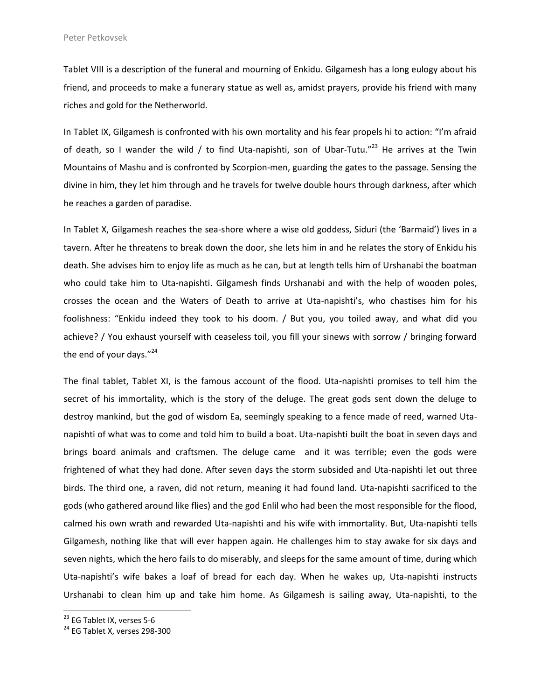Tablet VIII is a description of the funeral and mourning of Enkidu. Gilgamesh has a long eulogy about his friend, and proceeds to make a funerary statue as well as, amidst prayers, provide his friend with many riches and gold for the Netherworld.

In Tablet IX, Gilgamesh is confronted with his own mortality and his fear propels hi to action: "I'm afraid of death, so I wander the wild / to find Uta-napishti, son of Ubar-Tutu."<sup>23</sup> He arrives at the Twin Mountains of Mashu and is confronted by Scorpion-men, guarding the gates to the passage. Sensing the divine in him, they let him through and he travels for twelve double hours through darkness, after which he reaches a garden of paradise.

In Tablet X, Gilgamesh reaches the sea-shore where a wise old goddess, Siduri (the 'Barmaid') lives in a tavern. After he threatens to break down the door, she lets him in and he relates the story of Enkidu his death. She advises him to enjoy life as much as he can, but at length tells him of Urshanabi the boatman who could take him to Uta-napishti. Gilgamesh finds Urshanabi and with the help of wooden poles, crosses the ocean and the Waters of Death to arrive at Uta-napishti's, who chastises him for his foolishness: "Enkidu indeed they took to his doom. / But you, you toiled away, and what did you achieve? / You exhaust yourself with ceaseless toil, you fill your sinews with sorrow / bringing forward the end of your days. $"^{24}$ 

The final tablet, Tablet XI, is the famous account of the flood. Uta-napishti promises to tell him the secret of his immortality, which is the story of the deluge. The great gods sent down the deluge to destroy mankind, but the god of wisdom Ea, seemingly speaking to a fence made of reed, warned Utanapishti of what was to come and told him to build a boat. Uta-napishti built the boat in seven days and brings board animals and craftsmen. The deluge came and it was terrible; even the gods were frightened of what they had done. After seven days the storm subsided and Uta-napishti let out three birds. The third one, a raven, did not return, meaning it had found land. Uta-napishti sacrificed to the gods (who gathered around like flies) and the god Enlil who had been the most responsible for the flood, calmed his own wrath and rewarded Uta-napishti and his wife with immortality. But, Uta-napishti tells Gilgamesh, nothing like that will ever happen again. He challenges him to stay awake for six days and seven nights, which the hero fails to do miserably, and sleeps for the same amount of time, during which Uta-napishti's wife bakes a loaf of bread for each day. When he wakes up, Uta-napishti instructs Urshanabi to clean him up and take him home. As Gilgamesh is sailing away, Uta-napishti, to the

 $23$  EG Tablet IX, verses 5-6

 $24$  EG Tablet X, verses 298-300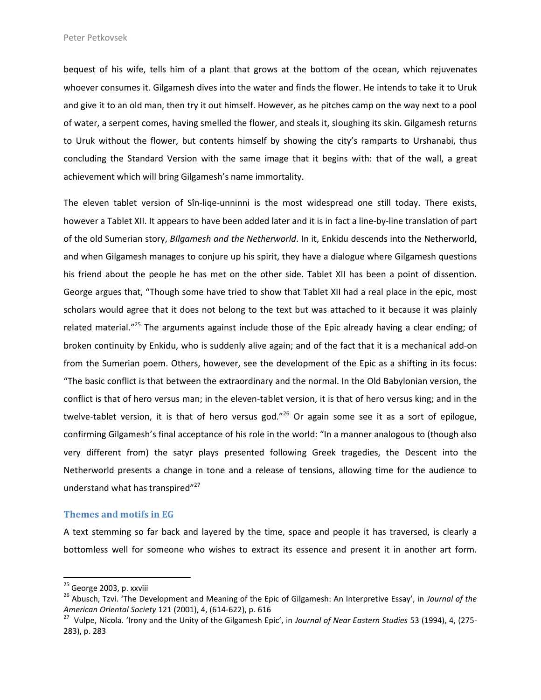bequest of his wife, tells him of a plant that grows at the bottom of the ocean, which rejuvenates whoever consumes it. Gilgamesh dives into the water and finds the flower. He intends to take it to Uruk and give it to an old man, then try it out himself. However, as he pitches camp on the way next to a pool of water, a serpent comes, having smelled the flower, and steals it, sloughing its skin. Gilgamesh returns to Uruk without the flower, but contents himself by showing the city's ramparts to Urshanabi, thus concluding the Standard Version with the same image that it begins with: that of the wall, a great achievement which will bring Gilgamesh's name immortality.

The eleven tablet version of Sîn-liqe-unninni is the most widespread one still today. There exists, however a Tablet XII. It appears to have been added later and it is in fact a line-by-line translation of part of the old Sumerian story, *BIlgamesh and the Netherworld*. In it, Enkidu descends into the Netherworld, and when Gilgamesh manages to conjure up his spirit, they have a dialogue where Gilgamesh questions his friend about the people he has met on the other side. Tablet XII has been a point of dissention. George argues that, "Though some have tried to show that Tablet XII had a real place in the epic, most scholars would agree that it does not belong to the text but was attached to it because it was plainly related material."<sup>25</sup> The arguments against include those of the Epic already having a clear ending; of broken continuity by Enkidu, who is suddenly alive again; and of the fact that it is a mechanical add-on from the Sumerian poem. Others, however, see the development of the Epic as a shifting in its focus: "The basic conflict is that between the extraordinary and the normal. In the Old Babylonian version, the conflict is that of hero versus man; in the eleven-tablet version, it is that of hero versus king; and in the twelve-tablet version, it is that of hero versus god."<sup>26</sup> Or again some see it as a sort of epilogue, confirming Gilgamesh's final acceptance of his role in the world: "In a manner analogous to (though also very different from) the satyr plays presented following Greek tragedies, the Descent into the Netherworld presents a change in tone and a release of tensions, allowing time for the audience to understand what has transpired"<sup>27</sup>

#### **Themes and motifs in EG**

A text stemming so far back and layered by the time, space and people it has traversed, is clearly a bottomless well for someone who wishes to extract its essence and present it in another art form.

 $25$  George 2003, p. xxviii

<sup>26</sup> Abusch, Tzvi. 'The Development and Meaning of the Epic of Gilgamesh: An Interpretive Essay', in *Journal of the American Oriental Society* 121 (2001), 4, (614-622), p. 616

<sup>27</sup> Vulpe, Nicola. 'Irony and the Unity of the Gilgamesh Epic', in *Journal of Near Eastern Studies* 53 (1994), 4, (275- 283), p. 283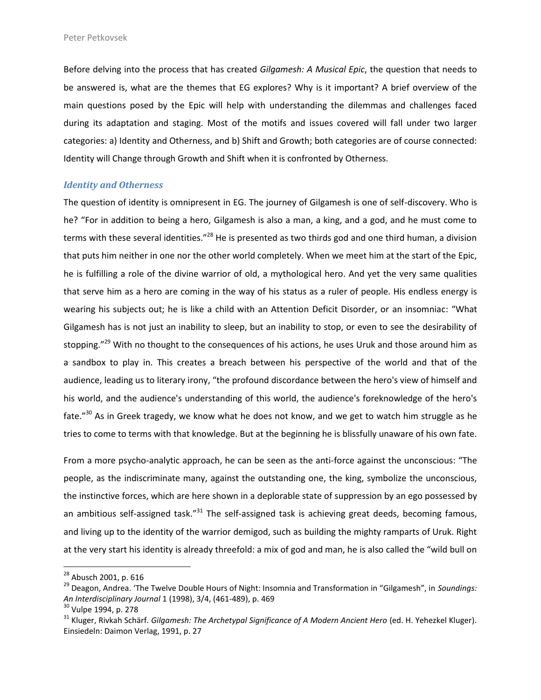Before delving into the process that has created *Gilgamesh: A Musical Epic*, the question that needs to be answered is, what are the themes that EG explores? Why is it important? A brief overview of the main questions posed by the Epic will help with understanding the dilemmas and challenges faced during its adaptation and staging. Most of the motifs and issues covered will fall under two larger categories: a) Identity and Otherness, and b) Shift and Growth; both categories are of course connected: Identity will Change through Growth and Shift when it is confronted by Otherness.

## *Identity and Otherness*

The question of identity is omnipresent in EG. The journey of Gilgamesh is one of self-discovery. Who is he? "For in addition to being a hero, Gilgamesh is also a man, a king, and a god, and he must come to terms with these several identities."<sup>28</sup> He is presented as two thirds god and one third human, a division that puts him neither in one nor the other world completely. When we meet him at the start of the Epic, he is fulfilling a role of the divine warrior of old, a mythological hero. And yet the very same qualities that serve him as a hero are coming in the way of his status as a ruler of people. His endless energy is wearing his subjects out; he is like a child with an Attention Deficit Disorder, or an insomniac: "What Gilgamesh has is not just an inability to sleep, but an inability to stop, or even to see the desirability of stopping."<sup>29</sup> With no thought to the consequences of his actions, he uses Uruk and those around him as a sandbox to play in. This creates a breach between his perspective of the world and that of the audience, leading us to literary irony, "the profound discordance between the hero's view of himself and his world, and the audience's understanding of this world, the audience's foreknowledge of the hero's fate."<sup>30</sup> As in Greek tragedy, we know what he does not know, and we get to watch him struggle as he tries to come to terms with that knowledge. But at the beginning he is blissfully unaware of his own fate.

From a more psycho-analytic approach, he can be seen as the anti-force against the unconscious: "The people, as the indiscriminate many, against the outstanding one, the king, symbolize the unconscious, the instinctive forces, which are here shown in a deplorable state of suppression by an ego possessed by an ambitious self-assigned task."<sup>31</sup> The self-assigned task is achieving great deeds, becoming famous, and living up to the identity of the warrior demigod, such as building the mighty ramparts of Uruk. Right at the very start his identity is already threefold: a mix of god and man, he is also called the "wild bull on

<sup>&</sup>lt;sup>28</sup> Abusch 2001, p. 616

<sup>29</sup> Deagon, Andrea. 'The Twelve Double Hours of Night: Insomnia and Transformation in "Gilgamesh", in *Soundings: An Interdisciplinary Journal* 1 (1998), 3/4, (461-489), p. 469

<sup>&</sup>lt;sup>30</sup> Vulpe 1994, p. 278

<sup>31</sup> Kluger, Rivkah Schärf. *Gilgamesh: The Archetypal Significance of A Modern Ancient Hero* (ed. H. Yehezkel Kluger). Einsiedeln: Daimon Verlag, 1991, p. 27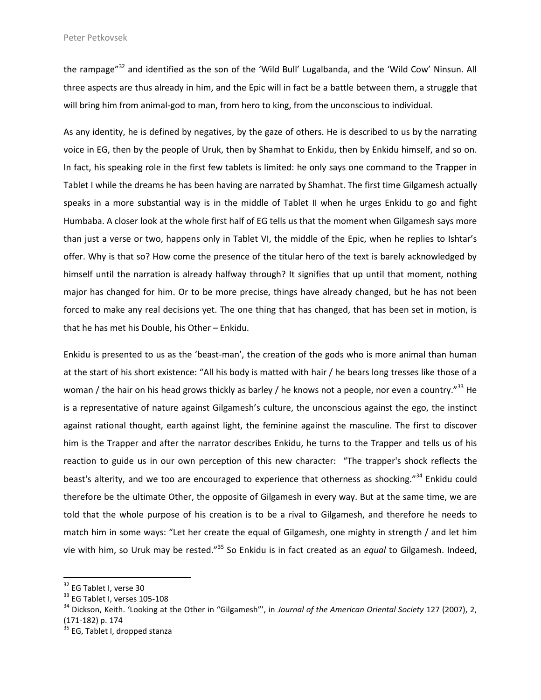the rampage"<sup>32</sup> and identified as the son of the 'Wild Bull' Lugalbanda, and the 'Wild Cow' Ninsun. All three aspects are thus already in him, and the Epic will in fact be a battle between them, a struggle that will bring him from animal-god to man, from hero to king, from the unconscious to individual.

As any identity, he is defined by negatives, by the gaze of others. He is described to us by the narrating voice in EG, then by the people of Uruk, then by Shamhat to Enkidu, then by Enkidu himself, and so on. In fact, his speaking role in the first few tablets is limited: he only says one command to the Trapper in Tablet I while the dreams he has been having are narrated by Shamhat. The first time Gilgamesh actually speaks in a more substantial way is in the middle of Tablet II when he urges Enkidu to go and fight Humbaba. A closer look at the whole first half of EG tells us that the moment when Gilgamesh says more than just a verse or two, happens only in Tablet VI, the middle of the Epic, when he replies to Ishtar's offer. Why is that so? How come the presence of the titular hero of the text is barely acknowledged by himself until the narration is already halfway through? It signifies that up until that moment, nothing major has changed for him. Or to be more precise, things have already changed, but he has not been forced to make any real decisions yet. The one thing that has changed, that has been set in motion, is that he has met his Double, his Other – Enkidu.

Enkidu is presented to us as the 'beast-man', the creation of the gods who is more animal than human at the start of his short existence: "All his body is matted with hair / he bears long tresses like those of a woman / the hair on his head grows thickly as barley / he knows not a people, nor even a country."<sup>33</sup> He is a representative of nature against Gilgamesh's culture, the unconscious against the ego, the instinct against rational thought, earth against light, the feminine against the masculine. The first to discover him is the Trapper and after the narrator describes Enkidu, he turns to the Trapper and tells us of his reaction to guide us in our own perception of this new character: "The trapper's shock reflects the beast's alterity, and we too are encouraged to experience that otherness as shocking."<sup>34</sup> Enkidu could therefore be the ultimate Other, the opposite of Gilgamesh in every way. But at the same time, we are told that the whole purpose of his creation is to be a rival to Gilgamesh, and therefore he needs to match him in some ways: "Let her create the equal of Gilgamesh, one mighty in strength / and let him vie with him, so Uruk may be rested."<sup>35</sup> So Enkidu is in fact created as an *equal* to Gilgamesh. Indeed,

<sup>&</sup>lt;sup>32</sup> EG Tablet I, verse 30

<sup>&</sup>lt;sup>33</sup> EG Tablet I, verses 105-108

<sup>34</sup> Dickson, Keith. 'Looking at the Other in "Gilgamesh"', in *Journal of the American Oriental Society* 127 (2007), 2, (171-182) p. 174

<sup>&</sup>lt;sup>35</sup> EG. Tablet I, dropped stanza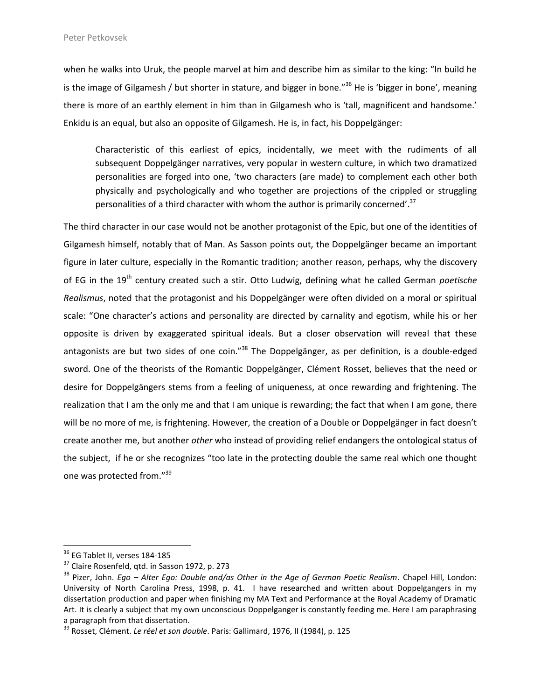when he walks into Uruk, the people marvel at him and describe him as similar to the king: "In build he is the image of Gilgamesh / but shorter in stature, and bigger in bone."<sup>36</sup> He is 'bigger in bone', meaning there is more of an earthly element in him than in Gilgamesh who is 'tall, magnificent and handsome.' Enkidu is an equal, but also an opposite of Gilgamesh. He is, in fact, his Doppelgänger:

Characteristic of this earliest of epics, incidentally, we meet with the rudiments of all subsequent Doppelgänger narratives, very popular in western culture, in which two dramatized personalities are forged into one, 'two characters (are made) to complement each other both physically and psychologically and who together are projections of the crippled or struggling personalities of a third character with whom the author is primarily concerned'.<sup>37</sup>

The third character in our case would not be another protagonist of the Epic, but one of the identities of Gilgamesh himself, notably that of Man. As Sasson points out, the Doppelgänger became an important figure in later culture, especially in the Romantic tradition; another reason, perhaps, why the discovery of EG in the 19<sup>th</sup> century created such a stir. Otto Ludwig, defining what he called German *poetische Realismus*, noted that the protagonist and his Doppelgänger were often divided on a moral or spiritual scale: "One character's actions and personality are directed by carnality and egotism, while his or her opposite is driven by exaggerated spiritual ideals. But a closer observation will reveal that these antagonists are but two sides of one coin."<sup>38</sup> The Doppelgänger, as per definition, is a double-edged sword. One of the theorists of the Romantic Doppelgänger, Clément Rosset, believes that the need or desire for Doppelgängers stems from a feeling of uniqueness, at once rewarding and frightening. The realization that I am the only me and that I am unique is rewarding; the fact that when I am gone, there will be no more of me, is frightening. However, the creation of a Double or Doppelgänger in fact doesn't create another me, but another *other* who instead of providing relief endangers the ontological status of the subject, if he or she recognizes "too late in the protecting double the same real which one thought one was protected from."<sup>39</sup>

<sup>&</sup>lt;sup>36</sup> EG Tablet II, verses 184-185

<sup>&</sup>lt;sup>37</sup> Claire Rosenfeld, qtd. in Sasson 1972, p. 273

<sup>38</sup> Pizer, John. *Ego – Alter Ego: Double and/as Other in the Age of German Poetic Realism*. Chapel Hill, London: University of North Carolina Press, 1998, p. 41. I have researched and written about Doppelgangers in my dissertation production and paper when finishing my MA Text and Performance at the Royal Academy of Dramatic Art. It is clearly a subject that my own unconscious Doppelganger is constantly feeding me. Here I am paraphrasing a paragraph from that dissertation.

<sup>39</sup> Rosset, Clément. *Le réel et son double*. Paris: Gallimard, 1976, II (1984), p. 125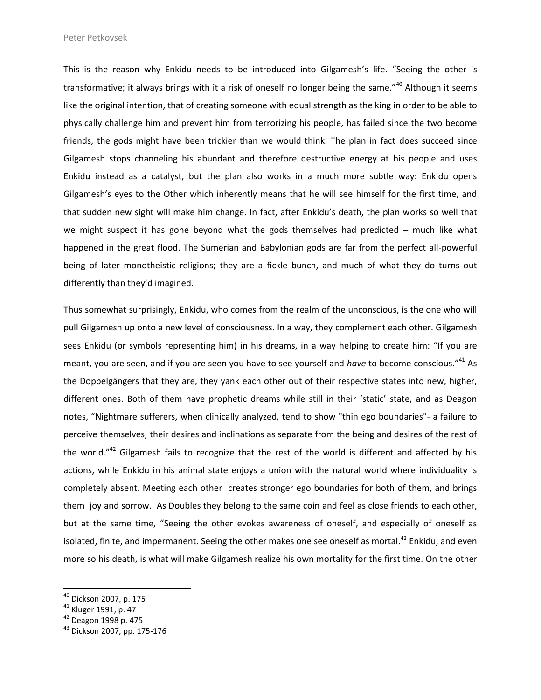This is the reason why Enkidu needs to be introduced into Gilgamesh's life. "Seeing the other is transformative; it always brings with it a risk of oneself no longer being the same."<sup>40</sup> Although it seems like the original intention, that of creating someone with equal strength as the king in order to be able to physically challenge him and prevent him from terrorizing his people, has failed since the two become friends, the gods might have been trickier than we would think. The plan in fact does succeed since Gilgamesh stops channeling his abundant and therefore destructive energy at his people and uses Enkidu instead as a catalyst, but the plan also works in a much more subtle way: Enkidu opens Gilgamesh's eyes to the Other which inherently means that he will see himself for the first time, and that sudden new sight will make him change. In fact, after Enkidu's death, the plan works so well that we might suspect it has gone beyond what the gods themselves had predicted  $-$  much like what happened in the great flood. The Sumerian and Babylonian gods are far from the perfect all-powerful being of later monotheistic religions; they are a fickle bunch, and much of what they do turns out differently than they'd imagined.

Thus somewhat surprisingly, Enkidu, who comes from the realm of the unconscious, is the one who will pull Gilgamesh up onto a new level of consciousness. In a way, they complement each other. Gilgamesh sees Enkidu (or symbols representing him) in his dreams, in a way helping to create him: "If you are meant, you are seen, and if you are seen you have to see yourself and *have* to become conscious."<sup>41</sup> As the Doppelgängers that they are, they yank each other out of their respective states into new, higher, different ones. Both of them have prophetic dreams while still in their 'static' state, and as Deagon notes, "Nightmare sufferers, when clinically analyzed, tend to show "thin ego boundaries"- a failure to perceive themselves, their desires and inclinations as separate from the being and desires of the rest of the world."<sup>42</sup> Gilgamesh fails to recognize that the rest of the world is different and affected by his actions, while Enkidu in his animal state enjoys a union with the natural world where individuality is completely absent. Meeting each other creates stronger ego boundaries for both of them, and brings them joy and sorrow. As Doubles they belong to the same coin and feel as close friends to each other, but at the same time, "Seeing the other evokes awareness of oneself, and especially of oneself as isolated, finite, and impermanent. Seeing the other makes one see oneself as mortal.<sup>43</sup> Enkidu, and even more so his death, is what will make Gilgamesh realize his own mortality for the first time. On the other

<sup>&</sup>lt;sup>40</sup> Dickson 2007, p. 175

<sup>41</sup> Kluger 1991, p. 47

 $42$  Deagon 1998 p. 475

 $43$  Dickson 2007, pp. 175-176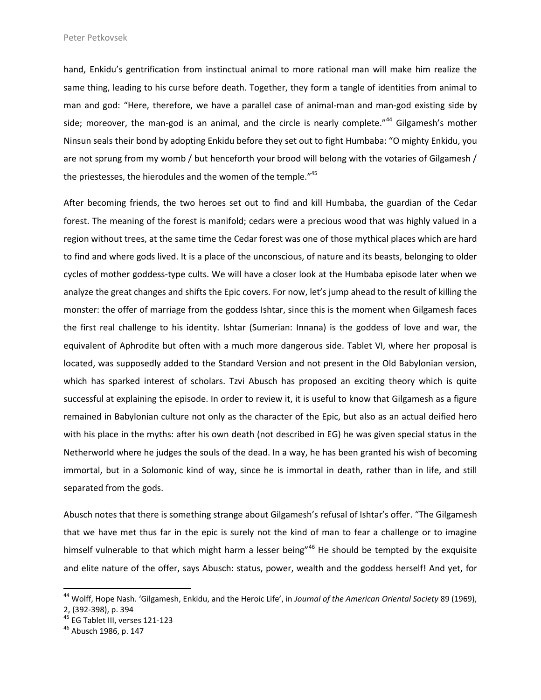hand, Enkidu's gentrification from instinctual animal to more rational man will make him realize the same thing, leading to his curse before death. Together, they form a tangle of identities from animal to man and god: "Here, therefore, we have a parallel case of animal-man and man-god existing side by side; moreover, the man-god is an animal, and the circle is nearly complete."<sup>44</sup> Gilgamesh's mother Ninsun seals their bond by adopting Enkidu before they set out to fight Humbaba: "O mighty Enkidu, you are not sprung from my womb / but henceforth your brood will belong with the votaries of Gilgamesh / the priestesses, the hierodules and the women of the temple."<sup>45</sup>

After becoming friends, the two heroes set out to find and kill Humbaba, the guardian of the Cedar forest. The meaning of the forest is manifold; cedars were a precious wood that was highly valued in a region without trees, at the same time the Cedar forest was one of those mythical places which are hard to find and where gods lived. It is a place of the unconscious, of nature and its beasts, belonging to older cycles of mother goddess-type cults. We will have a closer look at the Humbaba episode later when we analyze the great changes and shifts the Epic covers. For now, let's jump ahead to the result of killing the monster: the offer of marriage from the goddess Ishtar, since this is the moment when Gilgamesh faces the first real challenge to his identity. Ishtar (Sumerian: Innana) is the goddess of love and war, the equivalent of Aphrodite but often with a much more dangerous side. Tablet VI, where her proposal is located, was supposedly added to the Standard Version and not present in the Old Babylonian version, which has sparked interest of scholars. Tzvi Abusch has proposed an exciting theory which is quite successful at explaining the episode. In order to review it, it is useful to know that Gilgamesh as a figure remained in Babylonian culture not only as the character of the Epic, but also as an actual deified hero with his place in the myths: after his own death (not described in EG) he was given special status in the Netherworld where he judges the souls of the dead. In a way, he has been granted his wish of becoming immortal, but in a Solomonic kind of way, since he is immortal in death, rather than in life, and still separated from the gods.

Abusch notes that there is something strange about Gilgamesh's refusal of Ishtar's offer. "The Gilgamesh that we have met thus far in the epic is surely not the kind of man to fear a challenge or to imagine himself vulnerable to that which might harm a lesser being"<sup>46</sup> He should be tempted by the exquisite and elite nature of the offer, says Abusch: status, power, wealth and the goddess herself! And yet, for

<sup>44</sup> Wolff, Hope Nash. 'Gilgamesh, Enkidu, and the Heroic Life', in *Journal of the American Oriental Society* 89 (1969), 2, (392-398), p. 394

<sup>&</sup>lt;sup>45</sup> EG Tablet III, verses 121-123

 $46$  Abusch 1986, p. 147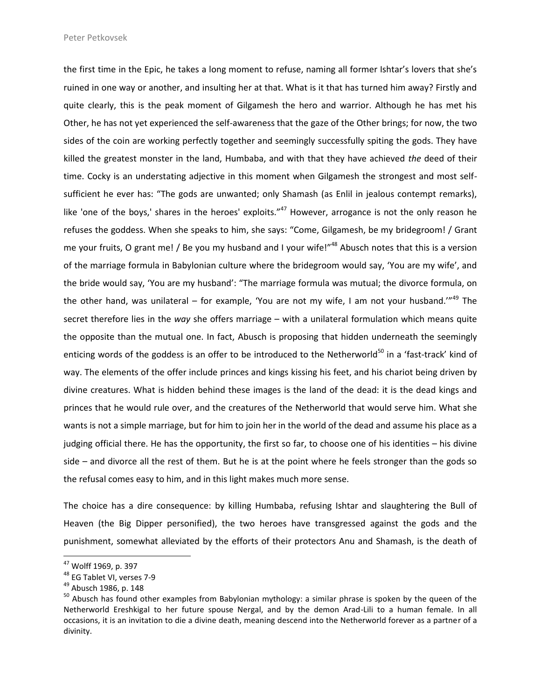the first time in the Epic, he takes a long moment to refuse, naming all former Ishtar's lovers that she's ruined in one way or another, and insulting her at that. What is it that has turned him away? Firstly and quite clearly, this is the peak moment of Gilgamesh the hero and warrior. Although he has met his Other, he has not yet experienced the self-awareness that the gaze of the Other brings; for now, the two sides of the coin are working perfectly together and seemingly successfully spiting the gods. They have killed the greatest monster in the land, Humbaba, and with that they have achieved *the* deed of their time. Cocky is an understating adjective in this moment when Gilgamesh the strongest and most selfsufficient he ever has: "The gods are unwanted; only Shamash (as Enlil in jealous contempt remarks), like 'one of the boys,' shares in the heroes' exploits."<sup>47</sup> However, arrogance is not the only reason he refuses the goddess. When she speaks to him, she says: "Come, Gilgamesh, be my bridegroom! / Grant me your fruits, O grant me! / Be you my husband and I your wife!"<sup>48</sup> Abusch notes that this is a version of the marriage formula in Babylonian culture where the bridegroom would say, 'You are my wife', and the bride would say, 'You are my husband': "The marriage formula was mutual; the divorce formula, on the other hand, was unilateral – for example, 'You are not my wife, I am not your husband."<sup>49</sup> The secret therefore lies in the *way* she offers marriage – with a unilateral formulation which means quite the opposite than the mutual one. In fact, Abusch is proposing that hidden underneath the seemingly enticing words of the goddess is an offer to be introduced to the Netherworld<sup>50</sup> in a 'fast-track' kind of way. The elements of the offer include princes and kings kissing his feet, and his chariot being driven by divine creatures. What is hidden behind these images is the land of the dead: it is the dead kings and princes that he would rule over, and the creatures of the Netherworld that would serve him. What she wants is not a simple marriage, but for him to join her in the world of the dead and assume his place as a judging official there. He has the opportunity, the first so far, to choose one of his identities – his divine side – and divorce all the rest of them. But he is at the point where he feels stronger than the gods so the refusal comes easy to him, and in this light makes much more sense.

The choice has a dire consequence: by killing Humbaba, refusing Ishtar and slaughtering the Bull of Heaven (the Big Dipper personified), the two heroes have transgressed against the gods and the punishment, somewhat alleviated by the efforts of their protectors Anu and Shamash, is the death of

<sup>47</sup> Wolff 1969, p. 397

<sup>48</sup> EG Tablet VI, verses 7-9

<sup>49</sup> Abusch 1986, p. 148

<sup>&</sup>lt;sup>50</sup> Abusch has found other examples from Babylonian mythology: a similar phrase is spoken by the queen of the Netherworld Ereshkigal to her future spouse Nergal, and by the demon Arad-Lili to a human female. In all occasions, it is an invitation to die a divine death, meaning descend into the Netherworld forever as a partner of a divinity.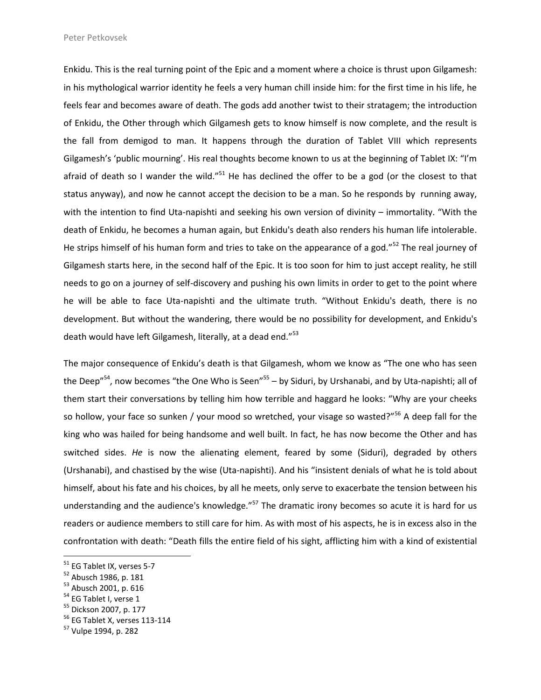Enkidu. This is the real turning point of the Epic and a moment where a choice is thrust upon Gilgamesh: in his mythological warrior identity he feels a very human chill inside him: for the first time in his life, he feels fear and becomes aware of death. The gods add another twist to their stratagem; the introduction of Enkidu, the Other through which Gilgamesh gets to know himself is now complete, and the result is the fall from demigod to man. It happens through the duration of Tablet VIII which represents Gilgamesh's 'public mourning'. His real thoughts become known to us at the beginning of Tablet IX: "I'm afraid of death so I wander the wild."<sup>51</sup> He has declined the offer to be a god (or the closest to that status anyway), and now he cannot accept the decision to be a man. So he responds by running away, with the intention to find Uta-napishti and seeking his own version of divinity – immortality. "With the death of Enkidu, he becomes a human again, but Enkidu's death also renders his human life intolerable. He strips himself of his human form and tries to take on the appearance of a god."<sup>52</sup> The real journey of Gilgamesh starts here, in the second half of the Epic. It is too soon for him to just accept reality, he still needs to go on a journey of self-discovery and pushing his own limits in order to get to the point where he will be able to face Uta-napishti and the ultimate truth. "Without Enkidu's death, there is no development. But without the wandering, there would be no possibility for development, and Enkidu's death would have left Gilgamesh, literally, at a dead end."<sup>53</sup>

The major consequence of Enkidu's death is that Gilgamesh, whom we know as "The one who has seen the Deep"<sup>54</sup>, now becomes "the One Who is Seen"<sup>55</sup> – by Siduri, by Urshanabi, and by Uta-napishti; all of them start their conversations by telling him how terrible and haggard he looks: "Why are your cheeks so hollow, your face so sunken / your mood so wretched, your visage so wasted?"<sup>56</sup> A deep fall for the king who was hailed for being handsome and well built. In fact, he has now become the Other and has switched sides. *He* is now the alienating element, feared by some (Siduri), degraded by others (Urshanabi), and chastised by the wise (Uta-napishti). And his "insistent denials of what he is told about himself, about his fate and his choices, by all he meets, only serve to exacerbate the tension between his understanding and the audience's knowledge."<sup>57</sup> The dramatic irony becomes so acute it is hard for us readers or audience members to still care for him. As with most of his aspects, he is in excess also in the confrontation with death: "Death fills the entire field of his sight, afflicting him with a kind of existential

<sup>&</sup>lt;sup>51</sup> EG Tablet IX, verses 5-7

<sup>52</sup> Abusch 1986, p. 181

<sup>&</sup>lt;sup>53</sup> Abusch 2001, p. 616

<sup>&</sup>lt;sup>54</sup> EG Tablet I, verse 1

<sup>55</sup> Dickson 2007, p. 177

 $56$  EG Tablet X, verses 113-114

<sup>&</sup>lt;sup>57</sup> Vulpe 1994, p. 282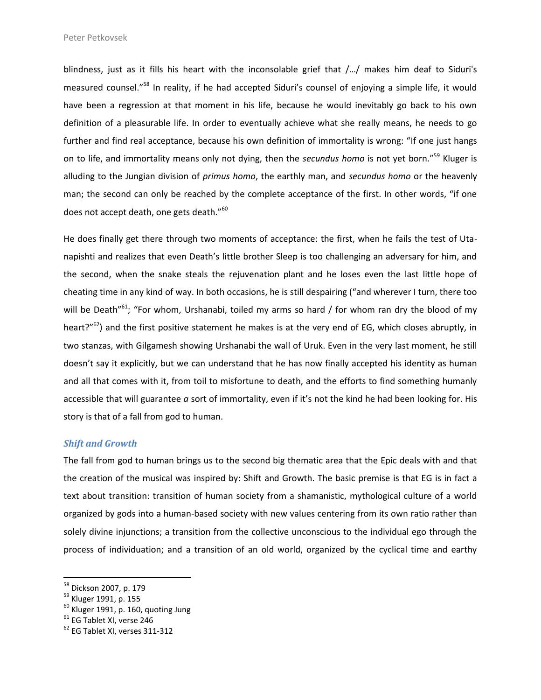blindness, just as it fills his heart with the inconsolable grief that /…/ makes him deaf to Siduri's measured counsel."<sup>58</sup> In reality, if he had accepted Siduri's counsel of enjoying a simple life, it would have been a regression at that moment in his life, because he would inevitably go back to his own definition of a pleasurable life. In order to eventually achieve what she really means, he needs to go further and find real acceptance, because his own definition of immortality is wrong: "If one just hangs on to life, and immortality means only not dying, then the *secundus homo* is not yet born."<sup>59</sup> Kluger is alluding to the Jungian division of *primus homo*, the earthly man, and *secundus homo* or the heavenly man; the second can only be reached by the complete acceptance of the first. In other words, "if one does not accept death, one gets death."<sup>60</sup>

He does finally get there through two moments of acceptance: the first, when he fails the test of Utanapishti and realizes that even Death's little brother Sleep is too challenging an adversary for him, and the second, when the snake steals the rejuvenation plant and he loses even the last little hope of cheating time in any kind of way. In both occasions, he is still despairing ("and wherever I turn, there too will be Death"<sup>61</sup>; "For whom, Urshanabi, toiled my arms so hard / for whom ran dry the blood of my heart?"<sup>62</sup>) and the first positive statement he makes is at the very end of EG, which closes abruptly, in two stanzas, with Gilgamesh showing Urshanabi the wall of Uruk. Even in the very last moment, he still doesn't say it explicitly, but we can understand that he has now finally accepted his identity as human and all that comes with it, from toil to misfortune to death, and the efforts to find something humanly accessible that will guarantee *a* sort of immortality, even if it's not the kind he had been looking for. His story is that of a fall from god to human.

#### *Shift and Growth*

The fall from god to human brings us to the second big thematic area that the Epic deals with and that the creation of the musical was inspired by: Shift and Growth. The basic premise is that EG is in fact a text about transition: transition of human society from a shamanistic, mythological culture of a world organized by gods into a human-based society with new values centering from its own ratio rather than solely divine injunctions; a transition from the collective unconscious to the individual ego through the process of individuation; and a transition of an old world, organized by the cyclical time and earthy

<sup>&</sup>lt;sup>58</sup> Dickson 2007, p. 179

<sup>59</sup> Kluger 1991, p. 155

 $^{60}$  Kluger 1991, p. 160, quoting Jung

 $61$  EG Tablet XI, verse 246

<sup>&</sup>lt;sup>62</sup> EG Tablet XI, verses 311-312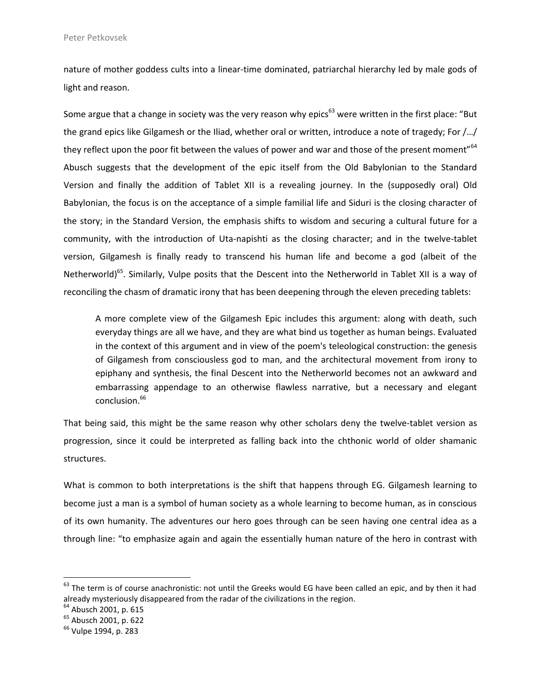nature of mother goddess cults into a linear-time dominated, patriarchal hierarchy led by male gods of light and reason.

Some argue that a change in society was the very reason why epics<sup>63</sup> were written in the first place: "But the grand epics like Gilgamesh or the Iliad, whether oral or written, introduce a note of tragedy; For /…/ they reflect upon the poor fit between the values of power and war and those of the present moment"<sup>64</sup> Abusch suggests that the development of the epic itself from the Old Babylonian to the Standard Version and finally the addition of Tablet XII is a revealing journey. In the (supposedly oral) Old Babylonian, the focus is on the acceptance of a simple familial life and Siduri is the closing character of the story; in the Standard Version, the emphasis shifts to wisdom and securing a cultural future for a community, with the introduction of Uta-napishti as the closing character; and in the twelve-tablet version, Gilgamesh is finally ready to transcend his human life and become a god (albeit of the Netherworld)<sup>65</sup>. Similarly, Vulpe posits that the Descent into the Netherworld in Tablet XII is a way of reconciling the chasm of dramatic irony that has been deepening through the eleven preceding tablets:

A more complete view of the Gilgamesh Epic includes this argument: along with death, such everyday things are all we have, and they are what bind us together as human beings. Evaluated in the context of this argument and in view of the poem's teleological construction: the genesis of Gilgamesh from consciousless god to man, and the architectural movement from irony to epiphany and synthesis, the final Descent into the Netherworld becomes not an awkward and embarrassing appendage to an otherwise flawless narrative, but a necessary and elegant conclusion.<sup>66</sup>

That being said, this might be the same reason why other scholars deny the twelve-tablet version as progression, since it could be interpreted as falling back into the chthonic world of older shamanic structures.

What is common to both interpretations is the shift that happens through EG. Gilgamesh learning to become just a man is a symbol of human society as a whole learning to become human, as in conscious of its own humanity. The adventures our hero goes through can be seen having one central idea as a through line: "to emphasize again and again the essentially human nature of the hero in contrast with

 $63$  The term is of course anachronistic: not until the Greeks would EG have been called an epic, and by then it had already mysteriously disappeared from the radar of the civilizations in the region.

<sup>&</sup>lt;sup>64</sup> Abusch 2001, p. 615

<sup>&</sup>lt;sup>65</sup> Abusch 2001, p. 622

<sup>&</sup>lt;sup>66</sup> Vulpe 1994, p. 283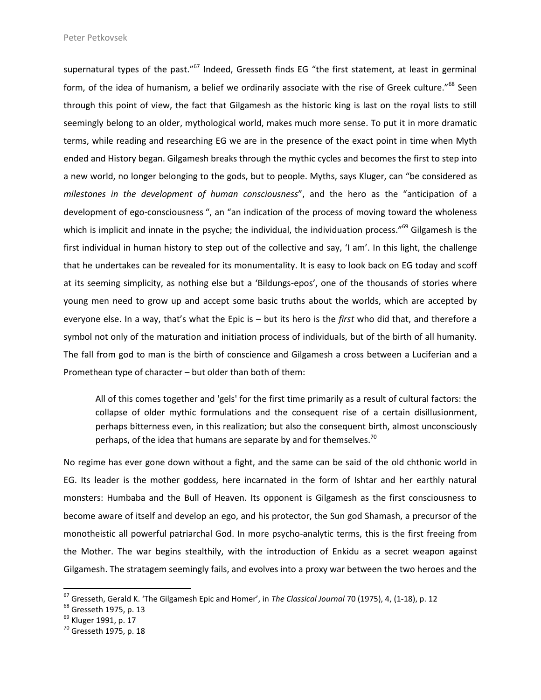supernatural types of the past."<sup>67</sup> Indeed, Gresseth finds EG "the first statement, at least in germinal form, of the idea of humanism, a belief we ordinarily associate with the rise of Greek culture."<sup>68</sup> Seen through this point of view, the fact that Gilgamesh as the historic king is last on the royal lists to still seemingly belong to an older, mythological world, makes much more sense. To put it in more dramatic terms, while reading and researching EG we are in the presence of the exact point in time when Myth ended and History began. Gilgamesh breaks through the mythic cycles and becomes the first to step into a new world, no longer belonging to the gods, but to people. Myths, says Kluger, can "be considered as *milestones in the development of human consciousness*", and the hero as the "anticipation of a development of ego-consciousness ", an "an indication of the process of moving toward the wholeness which is implicit and innate in the psyche; the individual, the individuation process."<sup>69</sup> Gilgamesh is the first individual in human history to step out of the collective and say, 'I am'. In this light, the challenge that he undertakes can be revealed for its monumentality. It is easy to look back on EG today and scoff at its seeming simplicity, as nothing else but a 'Bildungs-epos', one of the thousands of stories where young men need to grow up and accept some basic truths about the worlds, which are accepted by everyone else. In a way, that's what the Epic is – but its hero is the *first* who did that, and therefore a symbol not only of the maturation and initiation process of individuals, but of the birth of all humanity. The fall from god to man is the birth of conscience and Gilgamesh a cross between a Luciferian and a Promethean type of character – but older than both of them:

All of this comes together and 'gels' for the first time primarily as a result of cultural factors: the collapse of older mythic formulations and the consequent rise of a certain disillusionment, perhaps bitterness even, in this realization; but also the consequent birth, almost unconsciously perhaps, of the idea that humans are separate by and for themselves.<sup>70</sup>

No regime has ever gone down without a fight, and the same can be said of the old chthonic world in EG. Its leader is the mother goddess, here incarnated in the form of Ishtar and her earthly natural monsters: Humbaba and the Bull of Heaven. Its opponent is Gilgamesh as the first consciousness to become aware of itself and develop an ego, and his protector, the Sun god Shamash, a precursor of the monotheistic all powerful patriarchal God. In more psycho-analytic terms, this is the first freeing from the Mother. The war begins stealthily, with the introduction of Enkidu as a secret weapon against Gilgamesh. The stratagem seemingly fails, and evolves into a proxy war between the two heroes and the

<sup>67</sup> Gresseth, Gerald K. 'The Gilgamesh Epic and Homer', in *The Classical Journal* 70 (1975), 4, (1-18), p. 12

<sup>68</sup> Gresseth 1975, p. 13

<sup>&</sup>lt;sup>69</sup> Kluger 1991, p. 17

 $70$  Gresseth 1975, p. 18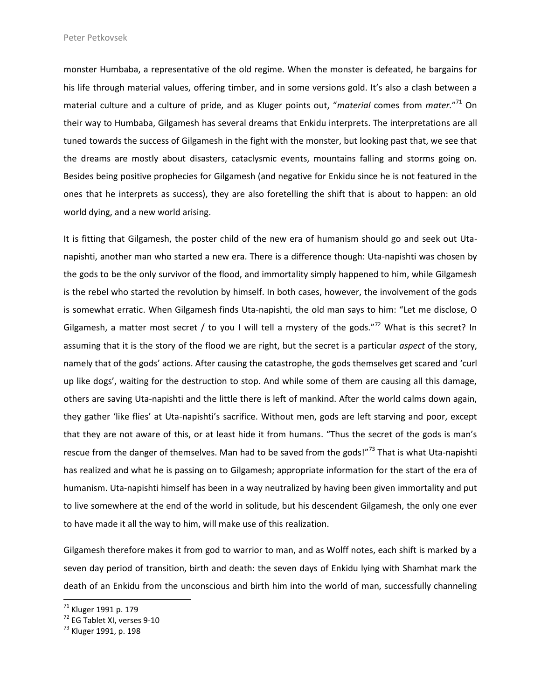monster Humbaba, a representative of the old regime. When the monster is defeated, he bargains for his life through material values, offering timber, and in some versions gold. It's also a clash between a material culture and a culture of pride, and as Kluger points out, "*material* comes from *mater.*" <sup>71</sup> On their way to Humbaba, Gilgamesh has several dreams that Enkidu interprets. The interpretations are all tuned towards the success of Gilgamesh in the fight with the monster, but looking past that, we see that the dreams are mostly about disasters, cataclysmic events, mountains falling and storms going on. Besides being positive prophecies for Gilgamesh (and negative for Enkidu since he is not featured in the ones that he interprets as success), they are also foretelling the shift that is about to happen: an old world dying, and a new world arising.

It is fitting that Gilgamesh, the poster child of the new era of humanism should go and seek out Utanapishti, another man who started a new era. There is a difference though: Uta-napishti was chosen by the gods to be the only survivor of the flood, and immortality simply happened to him, while Gilgamesh is the rebel who started the revolution by himself. In both cases, however, the involvement of the gods is somewhat erratic. When Gilgamesh finds Uta-napishti, the old man says to him: "Let me disclose, O Gilgamesh, a matter most secret / to you I will tell a mystery of the gods."<sup>72</sup> What is this secret? In assuming that it is the story of the flood we are right, but the secret is a particular *aspect* of the story, namely that of the gods' actions. After causing the catastrophe, the gods themselves get scared and 'curl up like dogs', waiting for the destruction to stop. And while some of them are causing all this damage, others are saving Uta-napishti and the little there is left of mankind. After the world calms down again, they gather 'like flies' at Uta-napishti's sacrifice. Without men, gods are left starving and poor, except that they are not aware of this, or at least hide it from humans. "Thus the secret of the gods is man's rescue from the danger of themselves. Man had to be saved from the gods!"<sup>73</sup> That is what Uta-napishti has realized and what he is passing on to Gilgamesh; appropriate information for the start of the era of humanism. Uta-napishti himself has been in a way neutralized by having been given immortality and put to live somewhere at the end of the world in solitude, but his descendent Gilgamesh, the only one ever to have made it all the way to him, will make use of this realization.

Gilgamesh therefore makes it from god to warrior to man, and as Wolff notes, each shift is marked by a seven day period of transition, birth and death: the seven days of Enkidu lying with Shamhat mark the death of an Enkidu from the unconscious and birth him into the world of man, successfully channeling

<sup>71</sup> Kluger 1991 p. 179

 $72$  EG Tablet XI, verses 9-10

<sup>&</sup>lt;sup>73</sup> Kluger 1991, p. 198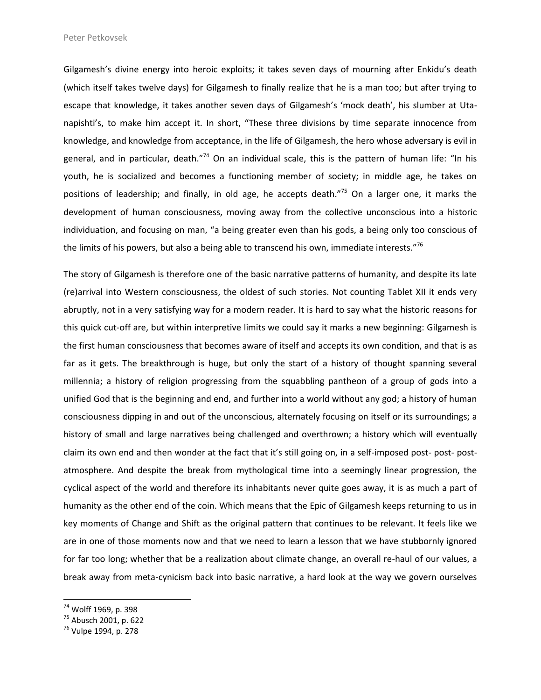Gilgamesh's divine energy into heroic exploits; it takes seven days of mourning after Enkidu's death (which itself takes twelve days) for Gilgamesh to finally realize that he is a man too; but after trying to escape that knowledge, it takes another seven days of Gilgamesh's 'mock death', his slumber at Utanapishti's, to make him accept it. In short, "These three divisions by time separate innocence from knowledge, and knowledge from acceptance, in the life of Gilgamesh, the hero whose adversary is evil in general, and in particular, death."<sup>74</sup> On an individual scale, this is the pattern of human life: "In his youth, he is socialized and becomes a functioning member of society; in middle age, he takes on positions of leadership; and finally, in old age, he accepts death."<sup>75</sup> On a larger one, it marks the development of human consciousness, moving away from the collective unconscious into a historic individuation, and focusing on man, "a being greater even than his gods, a being only too conscious of the limits of his powers, but also a being able to transcend his own, immediate interests."76

The story of Gilgamesh is therefore one of the basic narrative patterns of humanity, and despite its late (re)arrival into Western consciousness, the oldest of such stories. Not counting Tablet XII it ends very abruptly, not in a very satisfying way for a modern reader. It is hard to say what the historic reasons for this quick cut-off are, but within interpretive limits we could say it marks a new beginning: Gilgamesh is the first human consciousness that becomes aware of itself and accepts its own condition, and that is as far as it gets. The breakthrough is huge, but only the start of a history of thought spanning several millennia; a history of religion progressing from the squabbling pantheon of a group of gods into a unified God that is the beginning and end, and further into a world without any god; a history of human consciousness dipping in and out of the unconscious, alternately focusing on itself or its surroundings; a history of small and large narratives being challenged and overthrown; a history which will eventually claim its own end and then wonder at the fact that it's still going on, in a self-imposed post- post- postatmosphere. And despite the break from mythological time into a seemingly linear progression, the cyclical aspect of the world and therefore its inhabitants never quite goes away, it is as much a part of humanity as the other end of the coin. Which means that the Epic of Gilgamesh keeps returning to us in key moments of Change and Shift as the original pattern that continues to be relevant. It feels like we are in one of those moments now and that we need to learn a lesson that we have stubbornly ignored for far too long; whether that be a realization about climate change, an overall re-haul of our values, a break away from meta-cynicism back into basic narrative, a hard look at the way we govern ourselves

<sup>74</sup> Wolff 1969, p. 398

 $75$  Abusch 2001, p. 622

<sup>&</sup>lt;sup>76</sup> Vulpe 1994, p. 278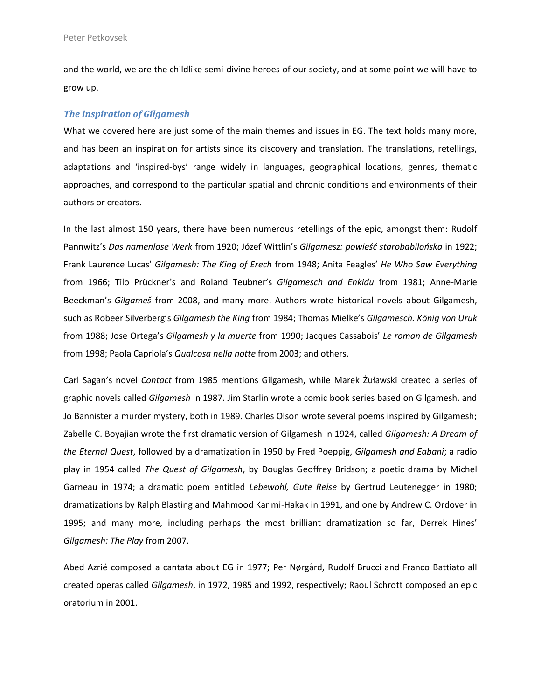and the world, we are the childlike semi-divine heroes of our society, and at some point we will have to grow up.

#### *The inspiration of Gilgamesh*

What we covered here are just some of the main themes and issues in EG. The text holds many more, and has been an inspiration for artists since its discovery and translation. The translations, retellings, adaptations and 'inspired-bys' range widely in languages, geographical locations, genres, thematic approaches, and correspond to the particular spatial and chronic conditions and environments of their authors or creators.

In the last almost 150 years, there have been numerous retellings of the epic, amongst them: Rudolf Pannwitz's *Das namenlose Werk* from 1920; Józef Wittlin's *Gilgamesz: powieść starobabilońska* in 1922; Frank Laurence Lucas' *Gilgamesh: The King of Erech* from 1948; Anita Feagles' *He Who Saw Everything* from 1966; Tilo Prückner's and Roland Teubner's *Gilgamesch and Enkidu* from 1981; Anne-Marie Beeckman's *Gilgameš* from 2008, and many more. Authors wrote historical novels about Gilgamesh, such as Robeer Silverberg's *Gilgamesh the King* from 1984; Thomas Mielke's *Gilgamesch. König von Uruk* from 1988; Jose Ortega's *Gilgamesh y la muerte* from 1990; Jacques Cassabois' *Le roman de Gilgamesh* from 1998; Paola Capriola's *Qualcosa nella notte* from 2003; and others.

Carl Sagan's novel *Contact* from 1985 mentions Gilgamesh, while Marek Żuławski created a series of graphic novels called *Gilgamesh* in 1987. Jim Starlin wrote a comic book series based on Gilgamesh, and Jo Bannister a murder mystery, both in 1989. Charles Olson wrote several poems inspired by Gilgamesh; Zabelle C. Boyajian wrote the first dramatic version of Gilgamesh in 1924, called *Gilgamesh: A Dream of the Eternal Quest*, followed by a dramatization in 1950 by Fred Poeppig, *Gilgamesh and Eabani*; a radio play in 1954 called *The Quest of Gilgamesh*, by Douglas Geoffrey Bridson; a poetic drama by Michel Garneau in 1974; a dramatic poem entitled *Lebewohl, Gute Reise* by Gertrud Leutenegger in 1980; dramatizations by Ralph Blasting and Mahmood Karimi-Hakak in 1991, and one by Andrew C. Ordover in 1995; and many more, including perhaps the most brilliant dramatization so far, Derrek Hines' *Gilgamesh: The Play* from 2007.

Abed Azrié composed a cantata about EG in 1977; Per Nørgård, Rudolf Brucci and Franco Battiato all created operas called *Gilgamesh*, in 1972, 1985 and 1992, respectively; Raoul Schrott composed an epic oratorium in 2001.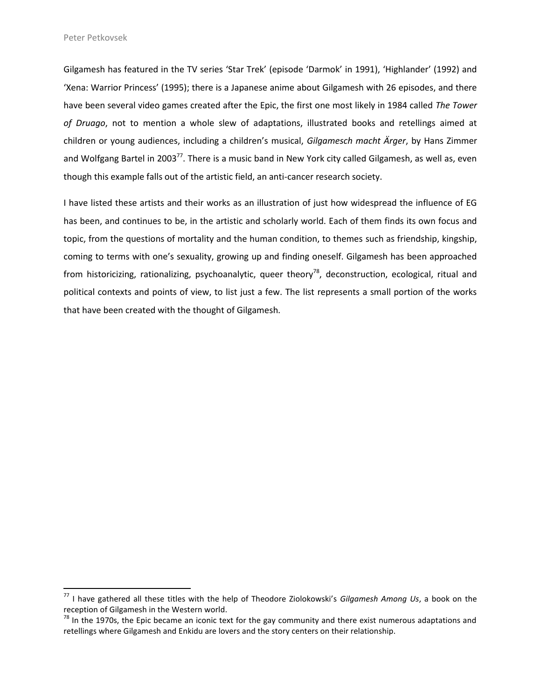$\overline{a}$ 

Gilgamesh has featured in the TV series 'Star Trek' (episode 'Darmok' in 1991), 'Highlander' (1992) and 'Xena: Warrior Princess' (1995); there is a Japanese anime about Gilgamesh with 26 episodes, and there have been several video games created after the Epic, the first one most likely in 1984 called *The Tower of Druago*, not to mention a whole slew of adaptations, illustrated books and retellings aimed at children or young audiences, including a children's musical, *Gilgamesch macht Ärger*, by Hans Zimmer and Wolfgang Bartel in 2003<sup>77</sup>. There is a music band in New York city called Gilgamesh, as well as, even though this example falls out of the artistic field, an anti-cancer research society.

I have listed these artists and their works as an illustration of just how widespread the influence of EG has been, and continues to be, in the artistic and scholarly world. Each of them finds its own focus and topic, from the questions of mortality and the human condition, to themes such as friendship, kingship, coming to terms with one's sexuality, growing up and finding oneself. Gilgamesh has been approached from historicizing, rationalizing, psychoanalytic, queer theory<sup>78</sup>, deconstruction, ecological, ritual and political contexts and points of view, to list just a few. The list represents a small portion of the works that have been created with the thought of Gilgamesh.

<sup>77</sup> I have gathered all these titles with the help of Theodore Ziolokowski's *Gilgamesh Among Us*, a book on the reception of Gilgamesh in the Western world.

 $78$  In the 1970s, the Epic became an iconic text for the gay community and there exist numerous adaptations and retellings where Gilgamesh and Enkidu are lovers and the story centers on their relationship.